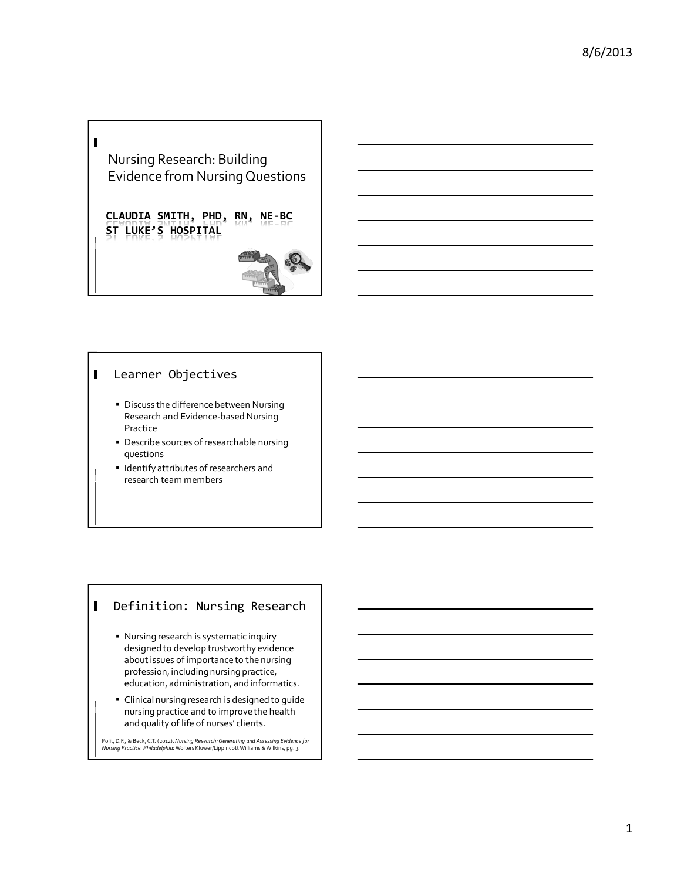## Nursing Research: Building Evidence from Nursing Questions

Ш

П

 $\blacksquare$ 

**CLAUDIA SMITH, PHD, RN, NE-BC ST LUKE'S HOSPITAL**



#### Learner Objectives

- **Discuss the difference between Nursing** Research and Evidence-based Nursing Practice
- Describe sources of researchable nursing questions
- **I** Identify attributes of researchers and research team members

## Definition: Nursing Research

- Nursing research is systematic inquiry designed to develop trustworthy evidence about issues of importance to the nursing profession, including nursing practice, education, administration, and informatics.
- Clinical nursing research is designed to guide nursing practice and to improve the health and quality of life of nurses' clients.

Polit, D.F., & Beck, C.T. (2012). *Nursing Research: Generating and Assessing Evidence for Nursing Practice. Philadelphia:* Wolters Kluwer/Lippincott Williams & Wilkins, pg. 3.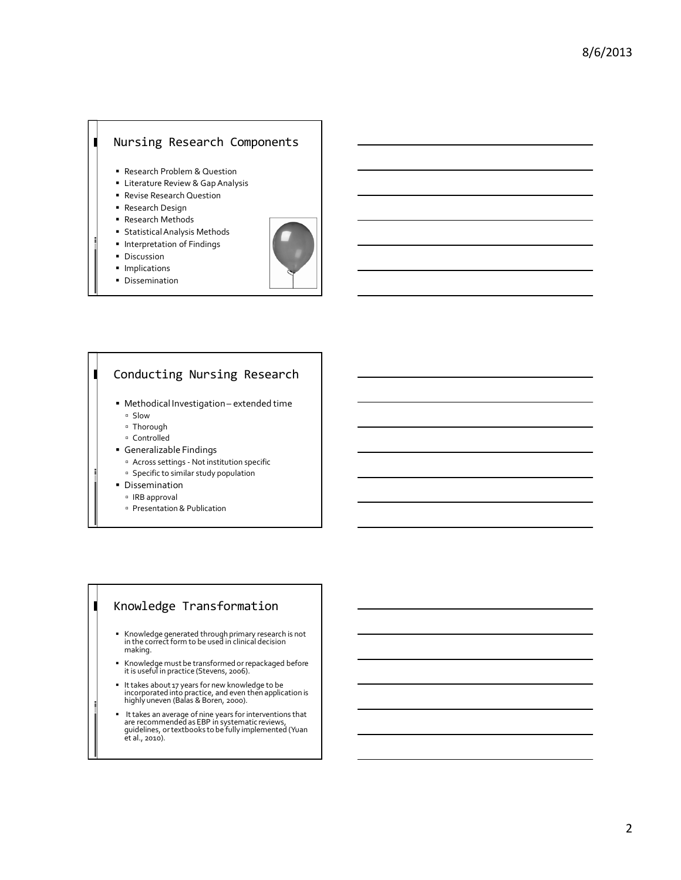# Nursing Research Components

- Research Problem & Question
- Literature Review & Gap Analysis
- Revise Research Question
- Research Design
- Research Methods
- **Statistical Analysis Methods**
- **Interpretation of Findings**
- **Discussion**

Ш

- **Implications**
- **Dissemination**



#### $\blacksquare$ Conducting Nursing Research

- Methodical Investigation extended time - Slow
	- Thorough
	- Controlled
- Generalizable Findings
	- Across settings Not institution specific
	- Specific to similar study population
- **Dissemination** 
	- <sup>o</sup> IRB approval

Π

- Presentation & Publication

## Knowledge Transformation

- Knowledge generated through primary research is not in the correct form to be used in clinical decision making.
- Knowledge must be transformed or repackaged before it is useful in practice (Stevens, 2006).
- It takes about 17 years for new knowledge to be incorporated into practice, and even then application is highly uneven (Balas & Boren, 2000).
- It takes an average of nine years for interventions that are recommended as EBP in systematic reviews, guidelines, or textbooks to be fully implemented (Yuan et al., 2010).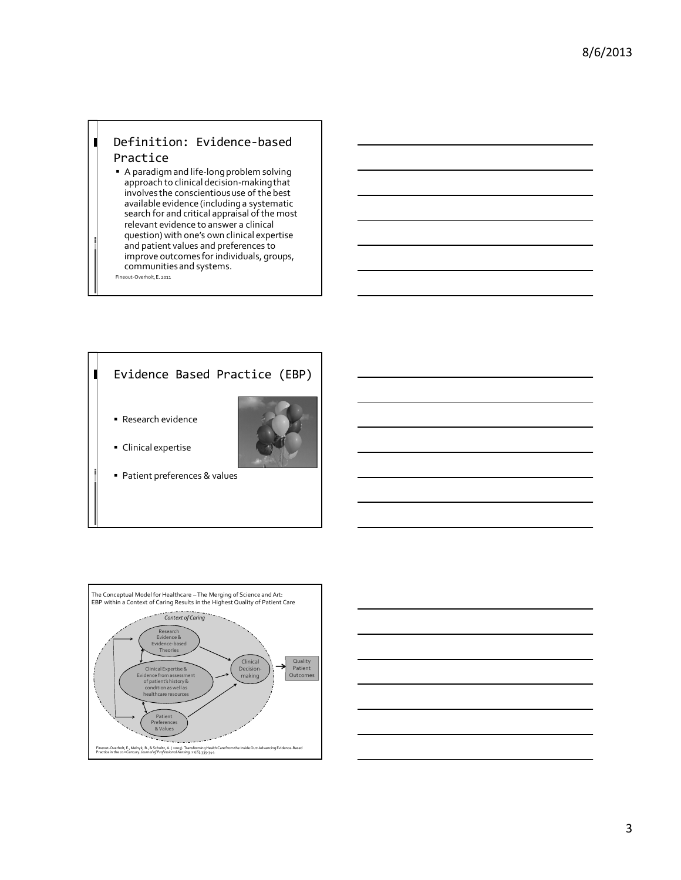### Definition: Evidence-based Practice

Ш

 A paradigm and life-long problem solving approach to clinical decision-making that involves the conscientious use of the best available evidence (including a systematic search for and critical appraisal of the most relevant evidence to answer a clinical question) with one's own clinical expertise and patient values and preferences to improve outcomes for individuals, groups, communities and systems. Fineout-Overholt, E. 2011





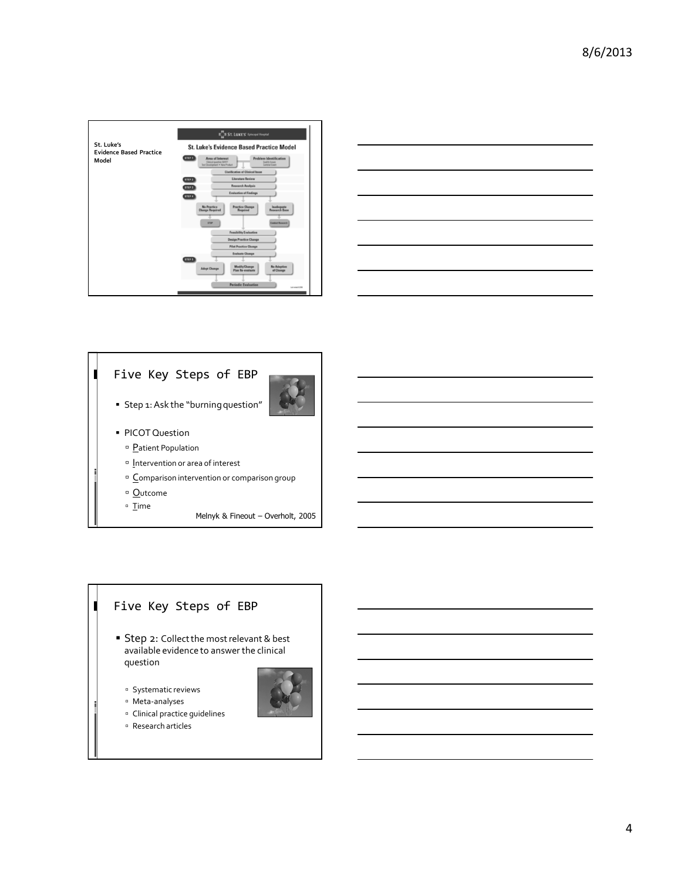

#### Five Key Steps of EBP  $\blacksquare$



- Step 1: Ask the "burning question"
- **PICOT Question** 
	- <sup>n</sup> Patient Population
	- <sup>n</sup> Intervention or area of interest
	- <sup>a</sup> Comparison intervention or comparison group
	- <sup>n</sup> Outcome

 $\blacksquare$ 

- □ Time
- Melnyk & Fineout Overholt, 2005

## Five Key Steps of EBP

- **Step 2: Collect the most relevant & best** available evidence to answer the clinical question
	- <sup>o</sup> Systematic reviews
	- Meta-analyses
	- Clinical practice guidelines
	- Research articles

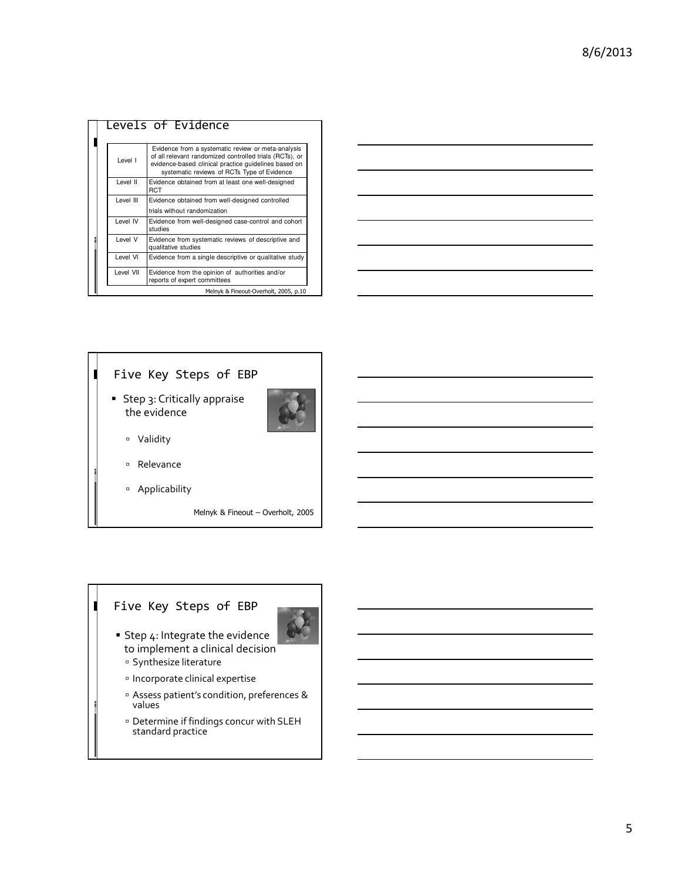|  |           | Levels of Evidence                                                                                                                                                                                                   |
|--|-----------|----------------------------------------------------------------------------------------------------------------------------------------------------------------------------------------------------------------------|
|  | Level I   | Evidence from a systematic review or meta-analysis<br>of all relevant randomized controlled trials (RCTs), or<br>evidence-based clinical practice quidelines based on<br>systematic reviews of RCTs Type of Evidence |
|  | Level II  | Evidence obtained from at least one well-designed<br><b>RCT</b>                                                                                                                                                      |
|  | Level III | Evidence obtained from well-designed controlled                                                                                                                                                                      |
|  |           | trials without randomization                                                                                                                                                                                         |
|  | Level IV  | Evidence from well-designed case-control and cohort<br>studies                                                                                                                                                       |
|  | Level V   | Evidence from systematic reviews of descriptive and<br>qualitative studies                                                                                                                                           |
|  | Level VI  | Evidence from a single descriptive or qualitative study                                                                                                                                                              |
|  | Level VII | Evidence from the opinion of authorities and/or<br>reports of expert committees                                                                                                                                      |
|  |           | Melnyk & Fineout-Overholt, 2005, p.10                                                                                                                                                                                |

|    | the contract of the contract of the contract of the contract of the contract of the contract of the contract of |  |      |
|----|-----------------------------------------------------------------------------------------------------------------|--|------|
| __ |                                                                                                                 |  |      |
|    |                                                                                                                 |  |      |
|    |                                                                                                                 |  | ____ |
|    |                                                                                                                 |  |      |
|    |                                                                                                                 |  |      |
|    |                                                                                                                 |  |      |
|    |                                                                                                                 |  |      |



## Five Key Steps of EBP

 $\blacksquare$ 



- **Step 4: Integrate the evidence** to implement a clinical decision
	- <sup>¤</sup> Synthesize literature
	- Incorporate clinical expertise
	- Assess patient's condition, preferences & values
	- Determine if findings concur with SLEH standard practice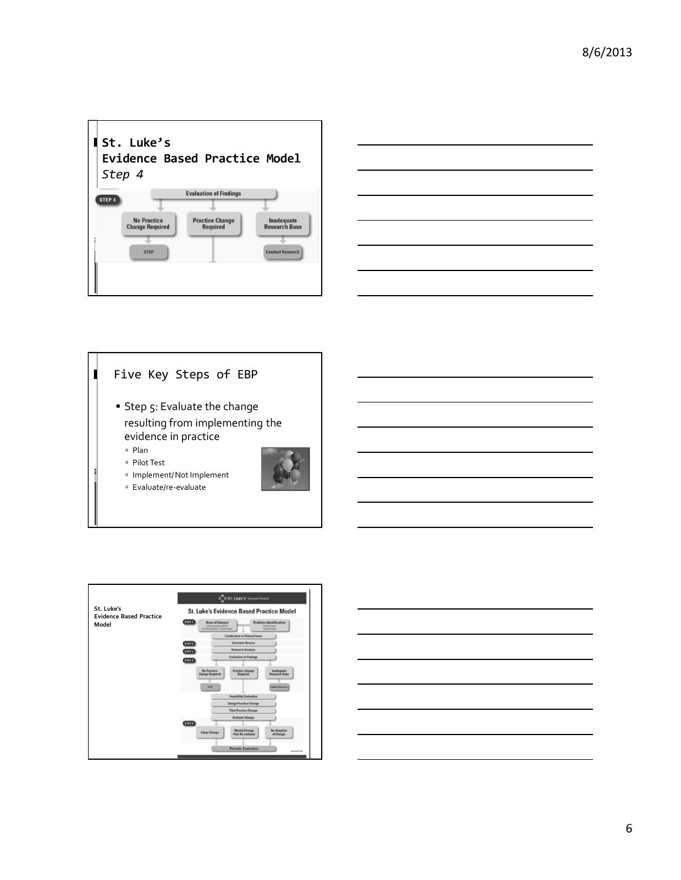







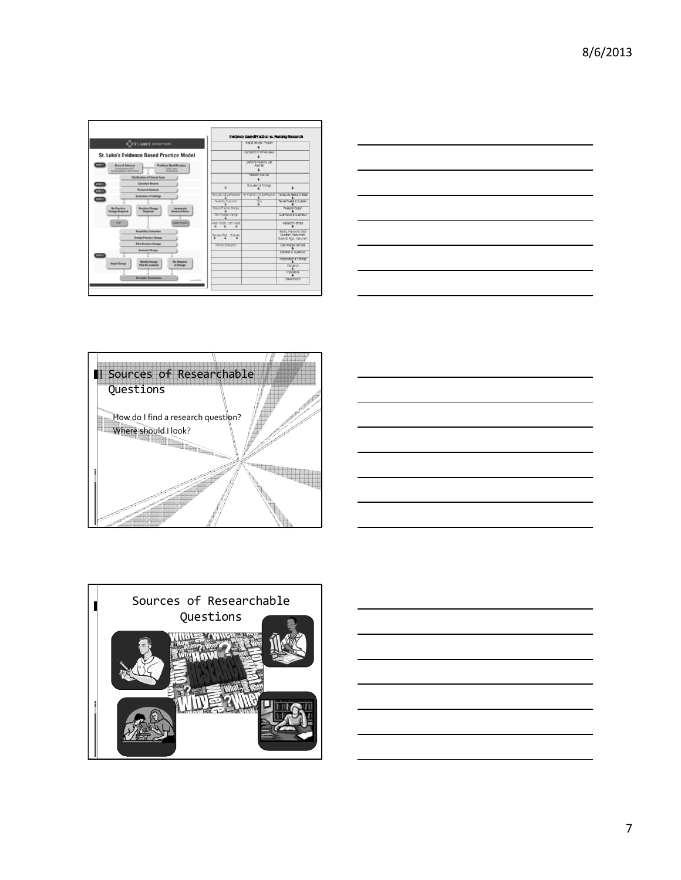|                                                                                                                                                                                                   | <b>Evidence-based Practice vs. Nursing Research</b> |                                                     |                                                                                   |
|---------------------------------------------------------------------------------------------------------------------------------------------------------------------------------------------------|-----------------------------------------------------|-----------------------------------------------------|-----------------------------------------------------------------------------------|
| <b>IICII ST. LUKE'S'</b> Iphoopal Hospital                                                                                                                                                        |                                                     | Area of Images: / Program                           |                                                                                   |
| <b>St. Luke's Evidence Based Practice Model</b>                                                                                                                                                   |                                                     | Carifatonof Onca issue                              |                                                                                   |
| <b>STEP 1</b><br><b>Problem Identification</b><br><b>Area of Interest</b><br><b>Oinical case/San 26557</b><br><b>Guilt lower</b><br><b>Tol Development . New Praduct</b><br><b>Sentral Expert</b> |                                                     | Unasture Review & Gap<br>Aray se                    |                                                                                   |
| <b>Clarification of Clinical Issue</b>                                                                                                                                                            |                                                     | Research Aralysis                                   |                                                                                   |
| <b>Literature Review</b><br><b>STEP 2</b><br><b>Research Analysis</b><br><b>STEP 3</b>                                                                                                            | Ł                                                   | Brauaton of Findings                                |                                                                                   |
| <b>Evaluation of Findings</b>                                                                                                                                                                     |                                                     | Ractice Change Required The Ractice Change Required | Inspective Research Base                                                          |
| <b>STEP 4</b>                                                                                                                                                                                     | Feason Evauator                                     | 555                                                 | <b>Rivie Relea di Cueston</b>                                                     |
| <b>Practice Change</b><br><b>No Practice</b><br><b>Inadequate</b><br>Research Base<br>Required<br><b>Change Required</b>                                                                          | Design Ractor Charge                                |                                                     | Research Design                                                                   |
|                                                                                                                                                                                                   | <b>Plot Practor Change</b>                          |                                                     | Quantitative or Qualitative                                                       |
| <b>STOP</b><br><b>Conduct Resourch</b>                                                                                                                                                            | Adopt Modify Dan't Adact                            |                                                     | Research Methods                                                                  |
| <b>Feasibility Evaluation</b><br><b>Design Practice Change</b>                                                                                                                                    | Baltate Pld Evaluate                                |                                                     | Serro, Populaton, Data<br>Colection, Requirement.<br>Scientific Rigor, Instrument |
| <b>Pilot Practice Change</b>                                                                                                                                                                      | Pariodo Batuaron                                    |                                                     | Data Analysis Methods                                                             |
| <b>Evaluate Change</b><br><b>STEP 5</b>                                                                                                                                                           |                                                     |                                                     | Statistics or Quarterye                                                           |
| <b>Modify</b> Change<br><b>No Advertise</b><br><b>Adopt Change</b>                                                                                                                                |                                                     |                                                     | Integretation of Findings                                                         |
| of Change<br><b>Plan Re-evaluate</b>                                                                                                                                                              |                                                     |                                                     | Discussion                                                                        |
|                                                                                                                                                                                                   |                                                     |                                                     | mocachs                                                                           |
| <b>Periodic Evaluation</b><br>Let wood USM                                                                                                                                                        |                                                     |                                                     | Desembaton                                                                        |









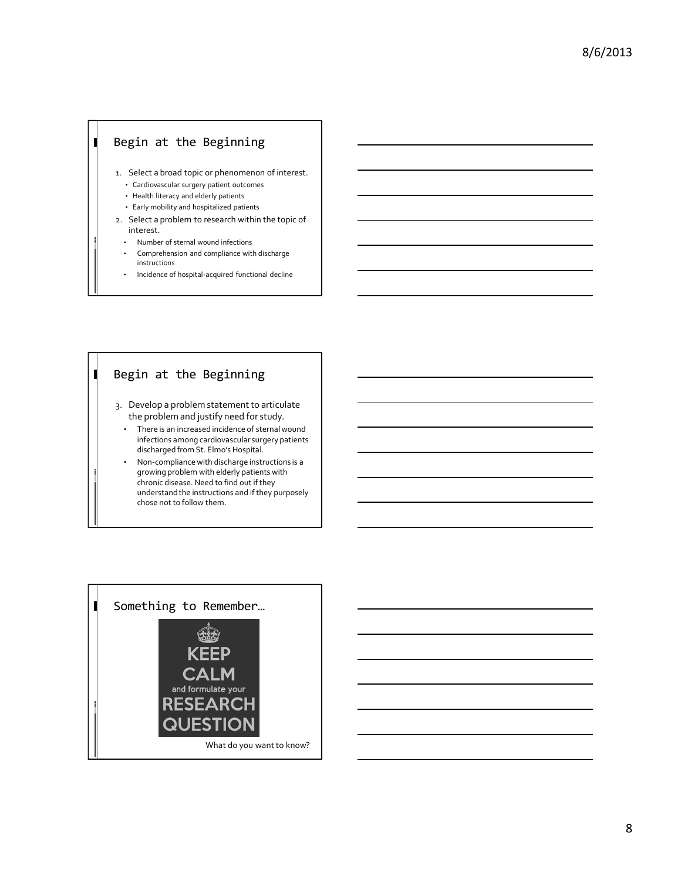### Begin at the Beginning

 $\blacksquare$ 

 $\blacksquare$ 

- 1. Select a broad topic or phenomenon of interest.
	- Cardiovascular surgery patient outcomes
	- Health literacy and elderly patients
	- Early mobility and hospitalized patients
- 2. Select a problem to research within the topic of interest.
	- Number of sternal wound infections
	- Comprehension and compliance with discharge instructions
	- Incidence of hospital-acquired functional decline

## Begin at the Beginning

- 3. Develop a problem statement to articulate the problem and justify need for study.
	- There is an increased incidence of sternal wound infections among cardiovascular surgery patients discharged from St. Elmo's Hospital.
- Non-compliance with discharge instructions is a growing problem with elderly patients with chronic disease. Need to find out if they understand the instructions and if they purposely chose not to follow them.



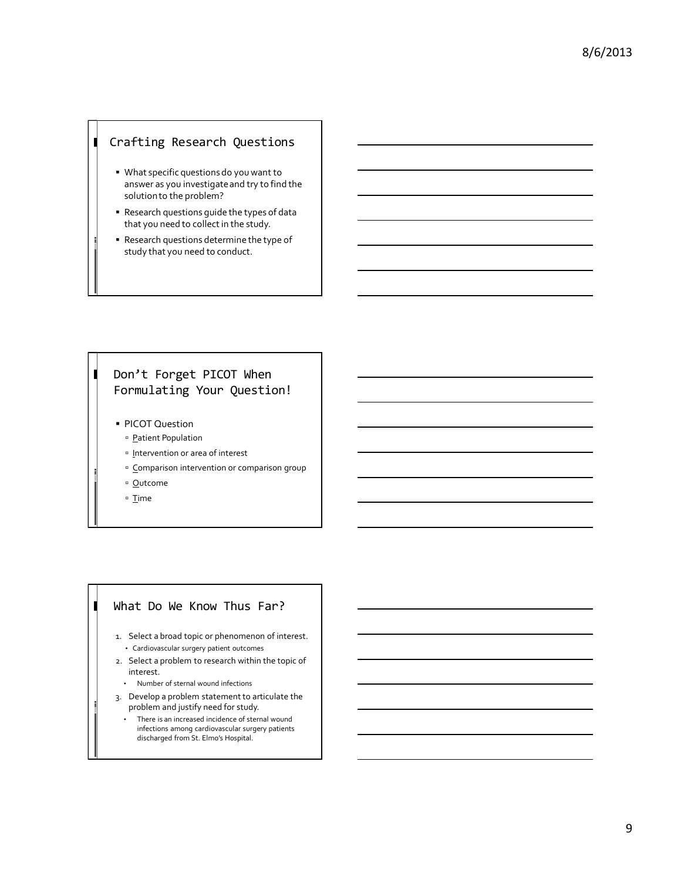### Crafting Research Questions

П

- What specific questions do you want to answer as you investigate and try to find the solution to the problem?
- Research questions guide the types of data that you need to collect in the study.
- Research questions determine the type of study that you need to conduct.

#### П Don't Forget PICOT When Formulating Your Question!

- **PICOT Question** 
	- <sup>D</sup> Patient Population
	- <sup>o</sup> Intervention or area of interest
	- <sup>o</sup> Comparison intervention or comparison group
	- <sup>o</sup> Outcome
	- □ Time

Π

#### What Do We Know Thus Far?

- 1. Select a broad topic or phenomenon of interest. • Cardiovascular surgery patient outcomes
- 2. Select a problem to research within the topic of interest.
	- Number of sternal wound infections
- 3. Develop a problem statement to articulate the problem and justify need for study.
	- There is an increased incidence of sternal wound infections among cardiovascular surgery patients discharged from St. Elmo's Hospital.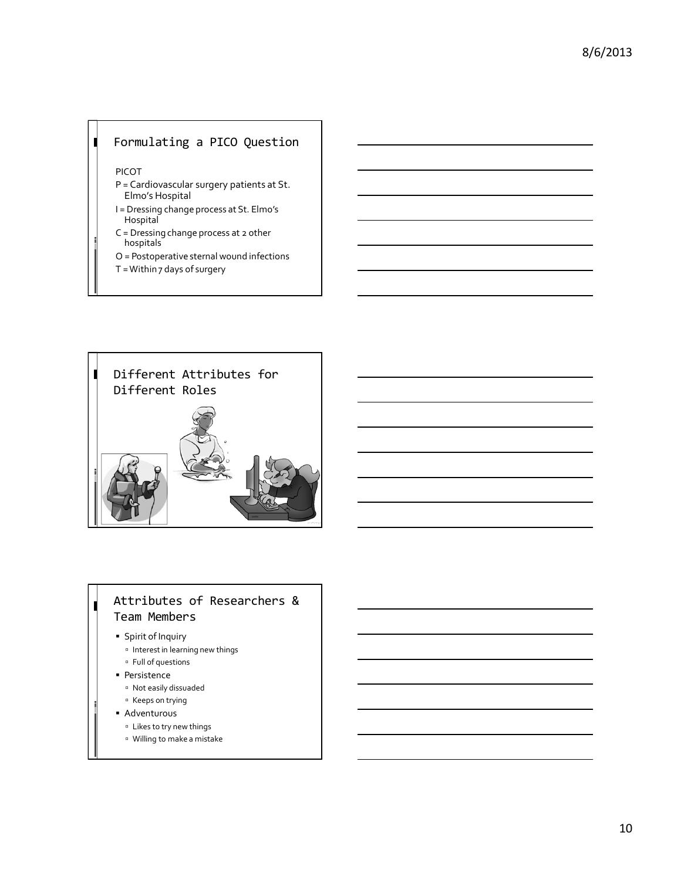## Formulating a PICO Question

PICOT

 $\blacksquare$ 

- P = Cardiovascular surgery patients at St. Elmo's Hospital
- I = Dressing change process at St. Elmo's **Hospital**
- C = Dressing change process at 2 other hospitals
- O = Postoperative sternal wound infections
- T = Within 7 days of surgery



## Attributes of Researchers & Team Members

#### **Spirit of Inquiry**

Γ

- Interest in learning new things
- <sup>o</sup> Full of questions
- **Persistence**
- <sup>o</sup> Not easily dissuaded
- <sup>n</sup> Keeps on trying
- Adventurous
	- <sup>o</sup> Likes to try new things
	- Willing to make a mistake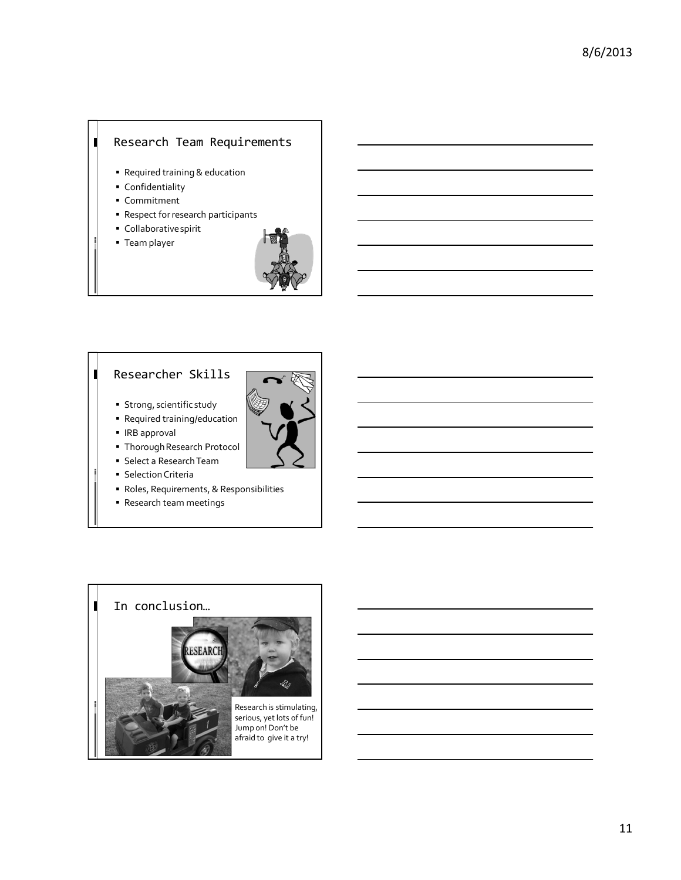## Research Team Requirements

- Required training & education
- Confidentiality
- Commitment

 $\blacksquare$ 

 $\blacksquare$ 

- Respect for research participants
- Collaborative spirit
- Team player



## Researcher Skills

- **Strong, scientific study**
- Required training/education
- IRB approval
- Thorough Research Protocol
- Select a Research Team
- **Selection Criteria**
- Roles, Requirements, & Responsibilities
- Research team meetings